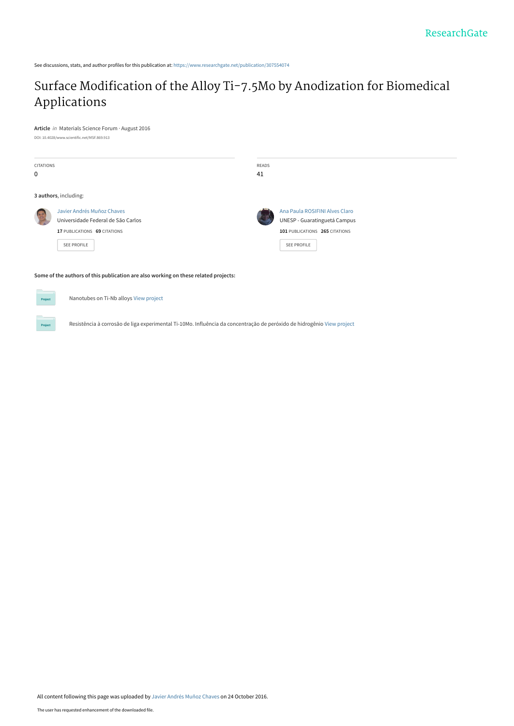See discussions, stats, and author profiles for this publication at: [https://www.researchgate.net/publication/307554074](https://www.researchgate.net/publication/307554074_Surface_Modification_of_the_Alloy_Ti-75Mo_by_Anodization_for_Biomedical_Applications?enrichId=rgreq-e834f89d326c1312afbe3b69fdc855a8-XXX&enrichSource=Y292ZXJQYWdlOzMwNzU1NDA3NDtBUzo0MjA3NzYyNzc3NTc5NTJAMTQ3NzMzMjI5MDUzNg%3D%3D&el=1_x_2&_esc=publicationCoverPdf)

# [Surface Modification of the Alloy Ti-7.5Mo by Anodization for Biomedical](https://www.researchgate.net/publication/307554074_Surface_Modification_of_the_Alloy_Ti-75Mo_by_Anodization_for_Biomedical_Applications?enrichId=rgreq-e834f89d326c1312afbe3b69fdc855a8-XXX&enrichSource=Y292ZXJQYWdlOzMwNzU1NDA3NDtBUzo0MjA3NzYyNzc3NTc5NTJAMTQ3NzMzMjI5MDUzNg%3D%3D&el=1_x_3&_esc=publicationCoverPdf) Applications

**Article** in Materials Science Forum · August 2016

DOI: 10.4028/www.scientific.net/MSF.869.913

| <b>CITATIONS</b><br>$\mathbf 0$ |                                                                                                                 | READS<br>41    |                                                                                                                 |
|---------------------------------|-----------------------------------------------------------------------------------------------------------------|----------------|-----------------------------------------------------------------------------------------------------------------|
| 3 authors, including:           |                                                                                                                 |                |                                                                                                                 |
|                                 | Javier Andrés Muñoz Chaves<br>Universidade Federal de São Carlos<br>17 PUBLICATIONS 69 CITATIONS<br>SEE PROFILE | $\mathbb{R}^2$ | Ana Paula ROSIFINI Alves Claro<br>UNESP - Guaratinguetá Campus<br>101 PUBLICATIONS 265 CITATIONS<br>SEE PROFILE |

**Some of the authors of this publication are also working on these related projects:**

Nanotubes on Ti-Nb alloys [View project](https://www.researchgate.net/project/Nanotubes-on-Ti-Nb-alloys?enrichId=rgreq-e834f89d326c1312afbe3b69fdc855a8-XXX&enrichSource=Y292ZXJQYWdlOzMwNzU1NDA3NDtBUzo0MjA3NzYyNzc3NTc5NTJAMTQ3NzMzMjI5MDUzNg%3D%3D&el=1_x_9&_esc=publicationCoverPdf)

Resistência à corrosão de liga experimental Ti-10Mo. Influência da concentração de peróxido de hidrogênio [View project](https://www.researchgate.net/project/Resistencia-a-corrosao-de-liga-experimental-Ti-10Mo-Influencia-da-concentracao-de-peroxido-de-hidrogenio?enrichId=rgreq-e834f89d326c1312afbe3b69fdc855a8-XXX&enrichSource=Y292ZXJQYWdlOzMwNzU1NDA3NDtBUzo0MjA3NzYyNzc3NTc5NTJAMTQ3NzMzMjI5MDUzNg%3D%3D&el=1_x_9&_esc=publicationCoverPdf)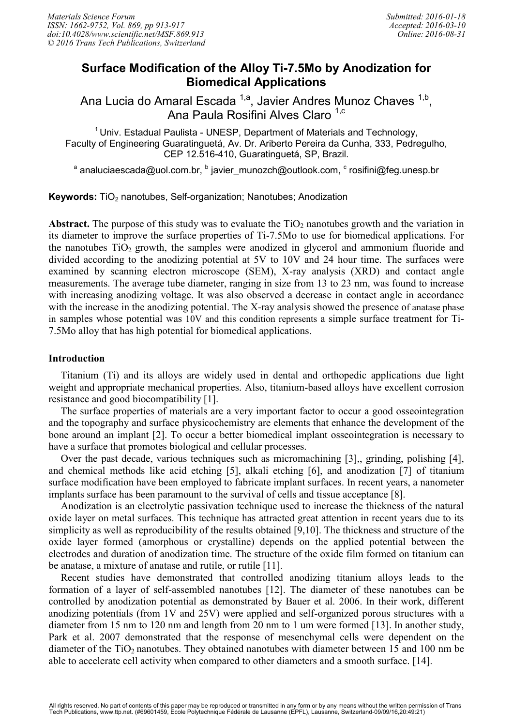# **Surface Modification of the Alloy Ti-7.5Mo by Anodization for Biomedical Applications**

Ana Lucia do Amaral Escada <sup>1,a</sup>, Javier Andres Munoz Chaves <sup>1,b</sup>, Ana Paula Rosifini Alves Claro <sup>1,c</sup>

 $1$ Univ. Estadual Paulista - UNESP, Department of Materials and Technology, Faculty of Engineering Guaratinguetá, Av. Dr. Ariberto Pereira da Cunha, 333, Pedregulho, CEP 12.516-410, Guaratinguetá, SP, Brazil.

<sup>a</sup> analuciaescada@uol.com.br, <sup>b</sup> javier\_munozch@outlook.com, <sup>c</sup> rosifini@feg.unesp.br

**Keywords:** TiO<sub>2</sub> nanotubes, Self-organization; Nanotubes; Anodization

**Abstract.** The purpose of this study was to evaluate the  $TiO<sub>2</sub>$  nanotubes growth and the variation in its diameter to improve the surface properties of Ti-7.5Mo to use for biomedical applications. For the nanotubes  $TiO<sub>2</sub>$  growth, the samples were anodized in glycerol and ammonium fluoride and divided according to the anodizing potential at 5V to 10V and 24 hour time. The surfaces were examined by scanning electron microscope (SEM), X-ray analysis (XRD) and contact angle measurements. The average tube diameter, ranging in size from 13 to 23 nm, was found to increase with increasing anodizing voltage. It was also observed a decrease in contact angle in accordance with the increase in the anodizing potential. The X-ray analysis showed the presence of anatase phase in samples whose potential was 10V and this condition represents a simple surface treatment for Ti-7.5Mo alloy that has high potential for biomedical applications.

## **Introduction**

Titanium (Ti) and its alloys are widely used in dental and orthopedic applications due light weight and appropriate mechanical properties. Also, titanium-based alloys have excellent corrosion resistance and good biocompatibility [1].

The surface properties of materials are a very important factor to occur a good osseointegration and the topography and surface physicochemistry are elements that enhance the development of the bone around an implant [2]. To occur a better biomedical implant osseointegration is necessary to have a surface that promotes biological and cellular processes.

Over the past decade, various techniques such as micromachining [3],, grinding, polishing [4], and chemical methods like acid etching [5], alkali etching [6], and anodization [7] of titanium surface modification have been employed to fabricate implant surfaces. In recent years, a nanometer implants surface has been paramount to the survival of cells and tissue acceptance [8].

Anodization is an electrolytic passivation technique used to increase the thickness of the natural oxide layer on metal surfaces. This technique has attracted great attention in recent years due to its simplicity as well as reproducibility of the results obtained [9,10]. The thickness and structure of the oxide layer formed (amorphous or crystalline) depends on the applied potential between the electrodes and duration of anodization time. The structure of the oxide film formed on titanium can be anatase, a mixture of anatase and rutile, or rutile [11].

Recent studies have demonstrated that controlled anodizing titanium alloys leads to the formation of a layer of self-assembled nanotubes [12]. The diameter of these nanotubes can be controlled by anodization potential as demonstrated by Bauer et al. 2006. In their work, different anodizing potentials (from 1V and 25V) were applied and self-organized porous structures with a diameter from 15 nm to 120 nm and length from 20 nm to 1 um were formed [13]. In another study, Park et al. 2007 demonstrated that the response of mesenchymal cells were dependent on the diameter of the  $TiO<sub>2</sub>$  nanotubes. They obtained nanotubes with diameter between 15 and 100 nm be able to accelerate cell activity when compared to other diameters and a smooth surface. [14].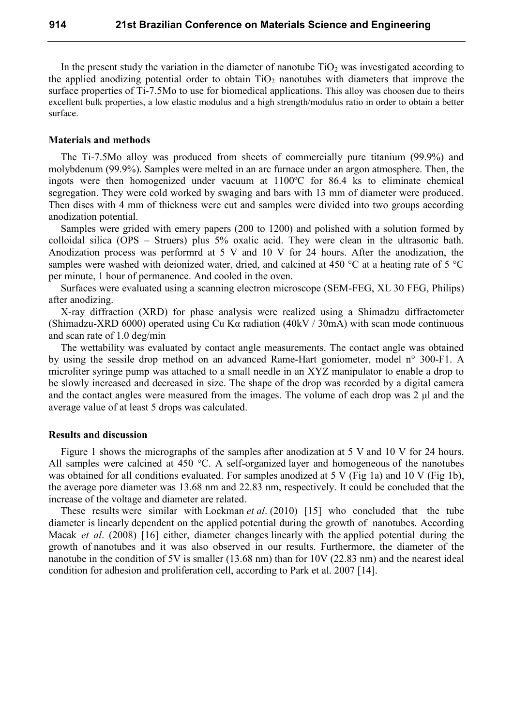In the present study the variation in the diameter of nanotube  $TiO<sub>2</sub>$  was investigated according to the applied anodizing potential order to obtain  $TiO<sub>2</sub>$  nanotubes with diameters that improve the surface properties of Ti-7.5Mo to use for biomedical applications. This alloy was choosen due to theirs excellent bulk properties, a low elastic modulus and a high strength/modulus ratio in order to obtain a better surface.

#### **Materials and methods**

The Ti-7.5Mo alloy was produced from sheets of commercially pure titanium (99.9%) and molybdenum (99.9%). Samples were melted in an arc furnace under an argon atmosphere. Then, the ingots were then homogenized under vacuum at 1100ºC for 86.4 ks to eliminate chemical segregation. They were cold worked by swaging and bars with 13 mm of diameter were produced. Then discs with 4 mm of thickness were cut and samples were divided into two groups according anodization potential.

Samples were grided with emery papers (200 to 1200) and polished with a solution formed by colloidal silica (OPS – Struers) plus 5% oxalic acid. They were clean in the ultrasonic bath. Anodization process was performrd at 5 V and 10 V for 24 hours. After the anodization, the samples were washed with deionized water, dried, and calcined at 450 °C at a heating rate of 5 °C per minute, 1 hour of permanence. And cooled in the oven.

Surfaces were evaluated using a scanning electron microscope (SEM-FEG, XL 30 FEG, Philips) after anodizing.

X-ray diffraction (XRD) for phase analysis were realized using a Shimadzu diffractometer (Shimadzu-XRD 6000) operated using Cu Kα radiation (40kV / 30mA) with scan mode continuous and scan rate of 1.0 deg/min

The wettability was evaluated by contact angle measurements. The contact angle was obtained by using the sessile drop method on an advanced Rame-Hart goniometer, model n° 300-F1. A microliter syringe pump was attached to a small needle in an XYZ manipulator to enable a drop to be slowly increased and decreased in size. The shape of the drop was recorded by a digital camera and the contact angles were measured from the images. The volume of each drop was 2 μl and the average value of at least 5 drops was calculated.

### **Results and discussion**

Figure 1 shows the micrographs of the samples after anodization at 5 V and 10 V for 24 hours. All samples were calcined at 450 °C. A self-organized layer and homogeneous of the nanotubes was obtained for all conditions evaluated. For samples anodized at 5 V (Fig 1a) and 10 V (Fig 1b), the average pore diameter was 13.68 nm and 22.83 nm, respectively. It could be concluded that the increase of the voltage and diameter are related.

These results were similar with Lockman *et al*. (2010) [15] who concluded that the tube diameter is linearly dependent on the applied potential during the growth of nanotubes. According Macak *et al*. (2008) [16] either, diameter changes linearly with the applied potential during the growth of nanotubes and it was also observed in our results. Furthermore, the diameter of the nanotube in the condition of 5V is smaller (13.68 nm) than for 10V (22.83 nm) and the nearest ideal condition for adhesion and proliferation cell, according to Park et al. 2007 [14].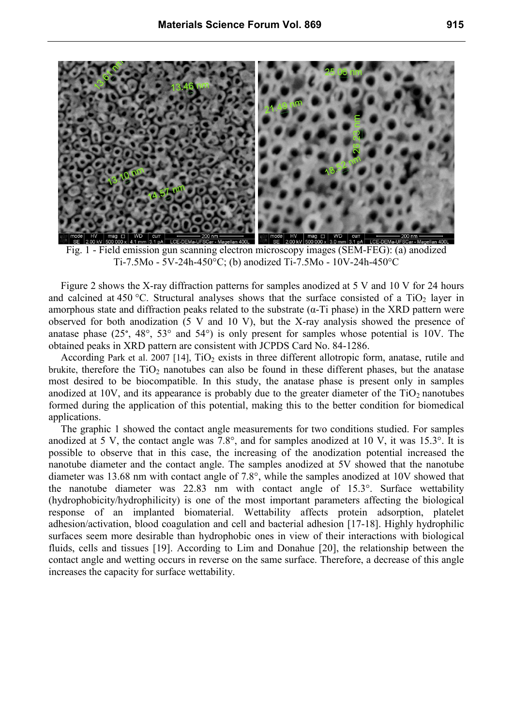

Fig. 1 - Field emission gun scanning electron microscopy images (SEM-FEG): (a) anodized Ti-7.5Mo - 5V-24h-450°C; (b) anodized Ti-7.5Mo - 10V-24h-450°C

Figure 2 shows the X-ray diffraction patterns for samples anodized at 5 V and 10 V for 24 hours and calcined at 450 °C. Structural analyses shows that the surface consisted of a TiO<sub>2</sub> layer in amorphous state and diffraction peaks related to the substrate  $(\alpha$ -Ti phase) in the XRD pattern were observed for both anodization (5 V and 10 V), but the X-ray analysis showed the presence of anatase phase (25°, 48°, 53° and 54°) is only present for samples whose potential is 10V. The obtained peaks in XRD pattern are consistent with JCPDS Card No. 84-1286.

According Park et al. 2007 [14],  $TiO<sub>2</sub>$  exists in three different allotropic form, anatase, rutile and brukite, therefore the  $TiO<sub>2</sub>$  nanotubes can also be found in these different phases, but the anatase most desired to be biocompatible. In this study, the anatase phase is present only in samples anodized at 10V, and its appearance is probably due to the greater diameter of the  $TiO<sub>2</sub>$  nanotubes formed during the application of this potential, making this to the better condition for biomedical applications.

The graphic 1 showed the contact angle measurements for two conditions studied. For samples anodized at 5 V, the contact angle was 7.8°, and for samples anodized at 10 V, it was 15.3°. It is possible to observe that in this case, the increasing of the anodization potential increased the nanotube diameter and the contact angle. The samples anodized at 5V showed that the nanotube diameter was 13.68 nm with contact angle of 7.8°, while the samples anodized at 10V showed that the nanotube diameter was 22.83 nm with contact angle of 15.3°. Surface wettability (hydrophobicity/hydrophilicity) is one of the most important parameters affecting the biological response of an implanted biomaterial. Wettability affects protein adsorption, platelet adhesion/activation, blood coagulation and cell and bacterial adhesion [17-18]. Highly hydrophilic surfaces seem more desirable than hydrophobic ones in view of their interactions with biological fluids, cells and tissues [19]. According to Lim and Donahue [20], the relationship between the contact angle and wetting occurs in reverse on the same surface. Therefore, a decrease of this angle increases the capacity for surface wettability.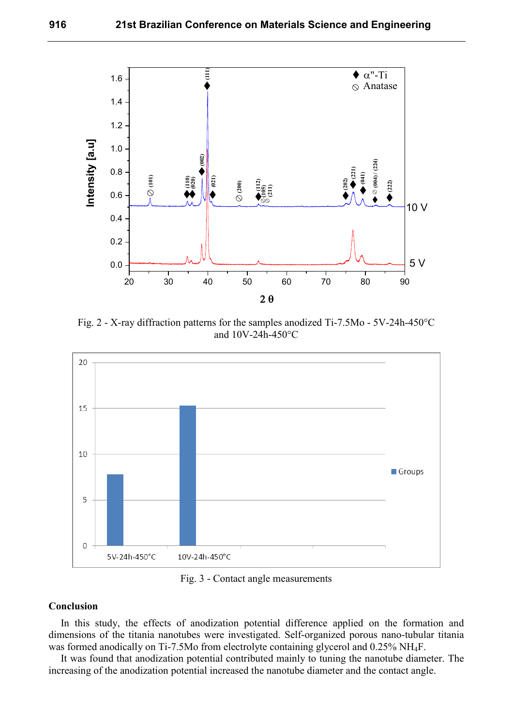

Fig. 2 - X-ray diffraction patterns for the samples anodized Ti-7.5Mo - 5V-24h-450°C and 10V-24h-450°C



Fig. 3 - Contact angle measurements

# **Conclusion**

In this study, the effects of anodization potential difference applied on the formation and dimensions of the titania nanotubes were investigated. Self-organized porous nano-tubular titania was formed anodically on Ti-7.5Mo from electrolyte containing glycerol and 0.25% NH4F.

It was found that anodization potential contributed mainly to tuning the nanotube diameter. The increasing of the anodization potential increased the nanotube diameter and the contact angle.